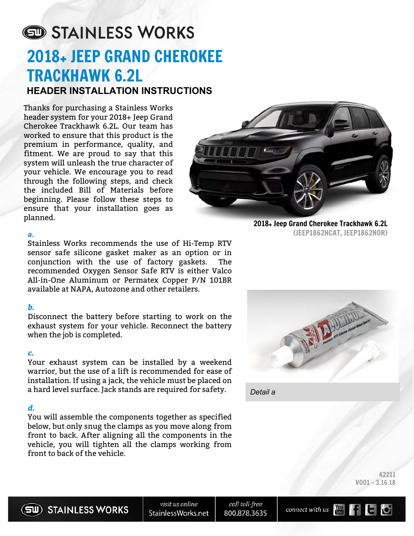# STAINLESS WORKS 2018+ JEEP GRAND CHEROKEE TRACKHAWK 6.2L **HEADER INSTALLATION INSTRUCTIONS**

Thanks for purchasing a Stainless Works header system for your 2018+ Jeep Grand Cherokee Trackhawk 6.2L. Our team has worked to ensure that this product is the premium in performance, quality, and fitment. We are proud to say that this system will unleash the true character of your vehicle. We encourage you to read through the following steps, and check the included Bill of Materials before beginning. Please follow these steps to ensure that your installation goes as planned.

#### *a.*

Stainless Works recommends the use of Hi-Temp RTV sensor safe silicone gasket maker as an option or in conjunction with the use of factory gaskets. The recommended Oxygen Sensor Safe RTV is either Valco All-in-One Aluminum or Permatex Copper P/N 101BR available at NAPA, Autozone and other retailers.

#### **b.**

Disconnect the battery before starting to work on the exhaust system for your vehicle. Reconnect the battery when the job is completed.

# **c.**

Your exhaust system can be installed by a weekend warrior, but the use of a lift is recommended for ease of installation. If using a jack, the vehicle must be placed on a hard level surface. Jack stands are required for safety.

# **d.**

You will assemble the components together as specified below, but only snug the clamps as you move along from front to back. After aligning all the components in the vehicle, you will tighten all the clamps working from front to back of the vehicle.



2018+ Jeep Grand Cherokee Trackhawk 6.2L (JEEP1862HCAT, JEEP1862HOR)



*Detail a*

42211 V001 - 3.16.18





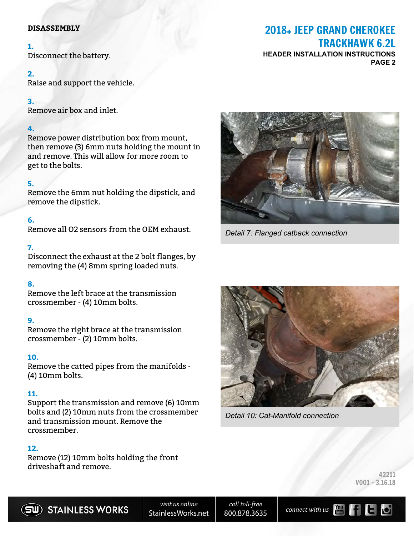#### **DISASSEMBLY**

#### **1.**

Disconnect the battery.

# **2.**

Raise and support the vehicle.

# **3.**

Remove air box and inlet.

# **4.**

Remove power distribution box from mount, then remove (3) 6mm nuts holding the mount in and remove. This will allow for more room to get to the bolts.

# **5.**

Remove the 6mm nut holding the dipstick, and remove the dipstick.

# **6.**

Remove all O2 sensors from the OEM exhaust.

# **7.**

Disconnect the exhaust at the 2 bolt flanges, by removing the (4) 8mm spring loaded nuts.

# **8.**

Remove the left brace at the transmission crossmember - (4) 10mm bolts.

# **9.**

Remove the right brace at the transmission crossmember - (2) 10mm bolts.

# **10.**

Remove the catted pipes from the manifolds - (4) 10mm bolts.

# **11.**

Support the transmission and remove (6) 10mm bolts and (2) 10mm nuts from the crossmember and transmission mount. Remove the crossmember.

# **12.**

Remove (12) 10mm bolts holding the front driveshaft and remove.

# 2018+ JEEP GRAND CHEROKEE TRACKHAWK 6.2L

**HEADER INSTALLATION INSTRUCTIONS PAGE 2**



*Detail 7: Flanged catback connection*



*Detail 10: Cat-Manifold connection*

42211 V001 - 3.16.18



visit us online StainlessWorks.net

call toll-free 800.878.3635

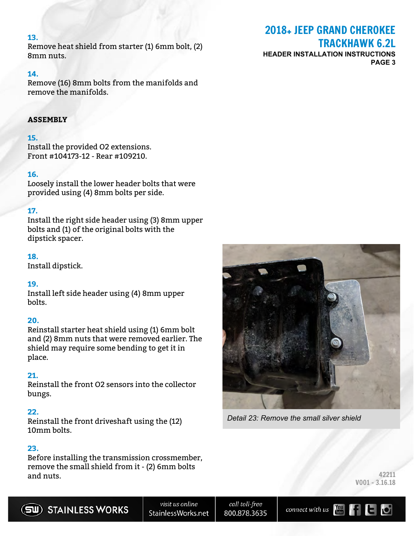#### **13.**

Remove heat shield from starter (1) 6mm bolt, (2) 8mm nuts.

#### **14.**

Remove (16) 8mm bolts from the manifolds and remove the manifolds.

# **ASSEMBLY**

#### **15.**

Install the provided O2 extensions. Front #104173-12 - Rear #109210.

#### **16.**

Loosely install the lower header bolts that were provided using (4) 8mm bolts per side.

#### **17.**

Install the right side header using (3) 8mm upper bolts and (1) of the original bolts with the dipstick spacer.

#### **18.**

Install dipstick.

#### **19.**

Install left side header using (4) 8mm upper bolts.

#### **20.**

Reinstall starter heat shield using (1) 6mm bolt and (2) 8mm nuts that were removed earlier. The shield may require some bending to get it in place.

#### **21.**

Reinstall the front O2 sensors into the collector bungs.

#### **22.**

Reinstall the front driveshaft using the (12) 10mm bolts.

#### **23.**

Before installing the transmission crossmember, remove the small shield from it - (2) 6mm bolts and nuts. 42211

# 2018+ JEEP GRAND CHEROKEE TRACKHAWK 6.2L

**HEADER INSTALLATION INSTRUCTIONS PAGE 3**



*Detail 23: Remove the small silver shield*

| 42211            |
|------------------|
| $V001 - 3.16.18$ |

call toll-free 800.878.3635